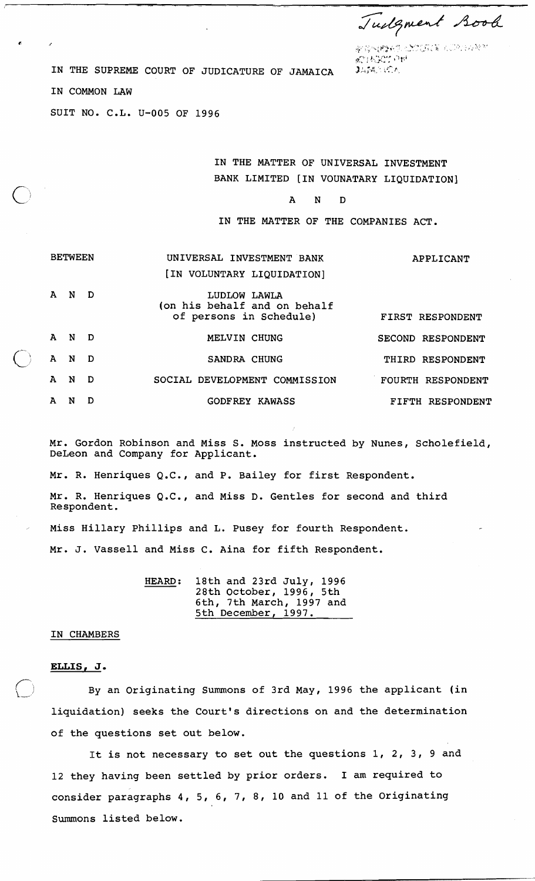Tudgment Book

**C.** <sup>f</sup>,\$,, ;; ,\,F\$i, ,'.:. . \,',.,' -- - ' ,, , ., ,,.;;, :. , :.:,, : ., . **7,:.** '?\* 8 \

r, *right in* the SUPREME COURT OF JUDICATURE OF JAMAICA **3.54**, 10.

IN COMMON LAW

SUIT NO. C.L. U-005 OF 1996

IN THE MATTER OF UNIVERSAL INVESTMENT BANK LIMITED [IN VOUNATARY LIQUIDATION]

A N D

IN THE MATTER OF THE COMPANIES ACT.

|   | <b>BETWEEN</b> |     | UNIVERSAL INVESTMENT BANK<br>[IN VOLUNTARY LIQUIDATION]                 | APPLICANT                |
|---|----------------|-----|-------------------------------------------------------------------------|--------------------------|
| A | N              | D   | LUDLOW LAWLA<br>(on his behalf and on behalf<br>of persons in Schedule) | FIRST RESPONDENT         |
| A | - N            | - D | MELVIN CHUNG                                                            | SECOND RESPONDENT        |
| A | N              | - D | SANDRA CHUNG                                                            | THIRD RESPONDENT         |
| A | N              | D   | SOCIAL DEVELOPMENT COMMISSION                                           | <b>FOURTH RESPONDENT</b> |
| A | N              | D   | <b>GODFREY KAWASS</b>                                                   | FIFTH RESPONDENT         |

Mr. Gordon Robinson and Miss S. Moss instructed by Nunes, Scholefield, DeLeon and Company for Applicant.

Mr. R. Henriques Q.C., and P. Bailey for first Respondent. Mr. R. Henriques Q.C., and Miss D. Gentles for second and third Respondent. Miss Hillary Phillips and L. Pusey for fourth Respondent.

Mr. J. Vassell and Miss C. Aina for fifth Respondent.

HEARD: 18th and 23rd July, 1996 28th October, 1996, 5th 6th, 7th March, 1997 and 5th December, 1997.

#### IN CHAMBERS

### **ELLIS, J.**

By an Originating Summons of 3rd May, 1996 the applicant (in liquidation) seeks the Court's directions on and the determination of the questions set out below.

It is not necessary to set out the questions 1, 2, 3, 9 and 12 they having been settled by prior orders. I am required to consider paragraphs 4, 5, 6, 7, 8, 10 and 11 of the Originating Summons listed below.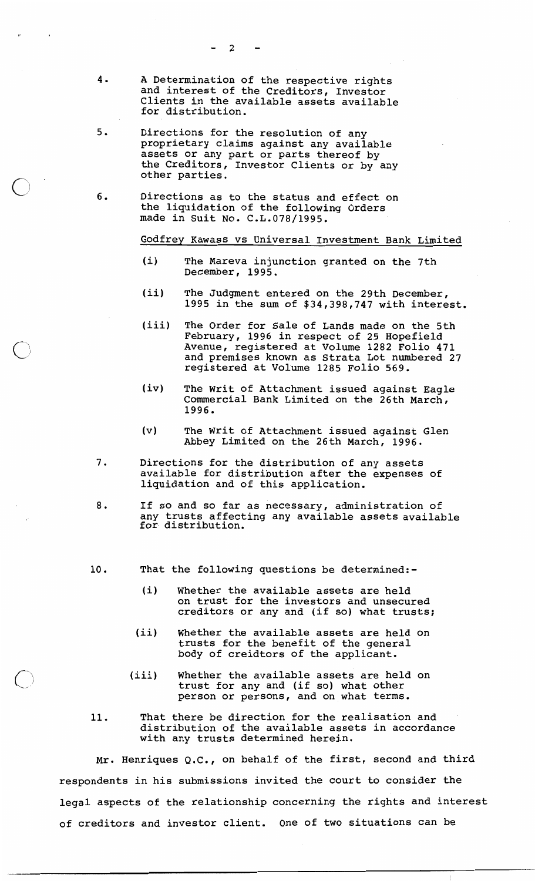- A Determination of the respective rights  $4.$ and interest of the Creditors, Investor Clients in the available assets available for distribution.
- $5.$ Directions for the resolution of any proprietary claims against any available assets or any part or parts thereof by the Creditors, Investor Clients or by any other parties.
- Directions as to the status and effect on  $6.$ the liquidation of the following Orders made in Suit No. C.L.078/1995.

### Godfrey Kawass vs Universal Investment Bank Limited

- $(i)$ The Mareva injunction granted on the 7th December, 1995.
- $(iii)$ The Judgment entered on the 29th December, 1995 in the sum of \$34,398,747 with interest.
- $(iii)$ The Order for Sale of Lands made on the 5th February, 1996 in respect of 25 Hopefield Avenue, registered at Volume 1282 Folio 471<br>and premises known as Strata Lot numbered 27 registered at Volume 1285 Folio 569.
- $(iv)$ The Writ of Attachment issued against Eagle Commercial Bank Limited on the 26th March, 1996.
- $(v)$ The Writ of Attachment issued against Glen Abbey Limited on the 26th March, 1996.
- $7.$ Directions for the distribution of any assets available for distribution after the expenses of liquidation and of this application.
- $8.$ If so and so far as necessary, administration of any trusts affecting any available assets available for distribution.
- 10. That the following questions be determined:-
	- $(i)$ Whether the available assets are held on trust for the investors and unsecured creditors or any and (if so) what trusts;
	- $(iii)$ Whether the available assets are held on trusts for the benefit of the general body of creidtors of the applicant.
	- Whether the available assets are held on<br>trust for any and (if so) what other  $(iii)$ person or persons, and on what terms.
- 11. That there be direction for the realisation and distribution of the available assets in accordance with any trusts determined herein.

Mr. Henriques Q.C., on behalf of the first, second and third respondents in his submissions invited the court to consider the legal aspects of the relationship concerning the rights and interest of creditors and investor client. One of two situations can be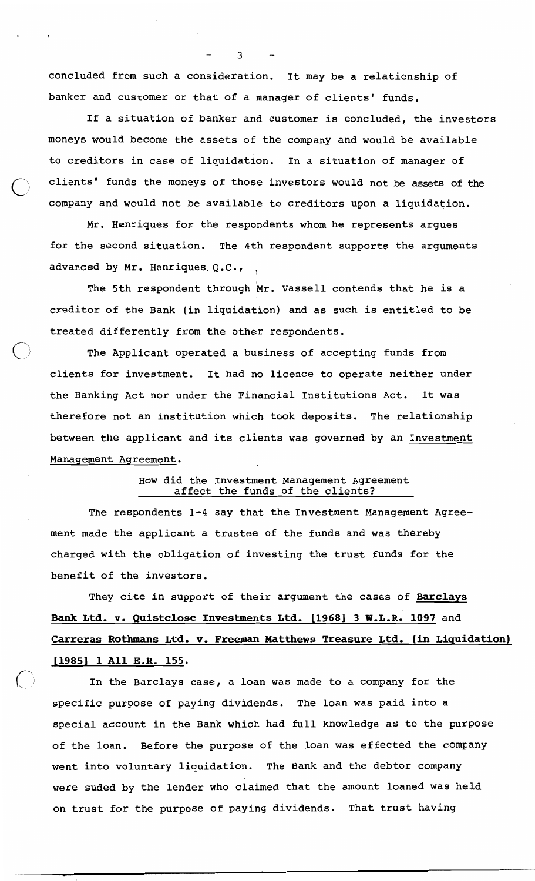concluded from such a consideration. It may be a relationship of banker and customer or that of a manager of clients' funds.

If a situation of banker and customer is concluded, the investors moneys would become the assets of the company and would be available to creditors in case of liquidation. In a situation of manager of clients' funds the moneys of those investors would not be assets of the company and would not be available to creditors upon a liquidation.

Mr. Henriques for the respondents whom he represents argues for the second situation. The 4th respondent supports the arguments advanced by Mr. Henriques Q.C.,

The 5th respondent through Mr. Vassell contends that he is a creditor of the Bank (in liquidation) and as such is entitled to be treated differently from the other respondents.

The Applicant operated a business of accepting funds from clients for investment. It had no licence to operate neither under the Banking Act nor under the Financial Institutions Act. It was therefore not an institution which took deposits. The relationship between the applicant and its clients was governed by an Investment Management Agreement.

## How did the Investment Management Agreement affect the funds of the clients?

The respondents 1-4 say that the Investment Management Agreement made the applicant a trustee of the funds and was thereby charged with the obligation of investing the trust funds for the benefit of the investors.

They cite in support of their argument the cases of Barclays Bank Ltd. v. Quistclose Investments Ltd. [1968] 3 W.L.R. 1097 and Carreras Rothmans Ltd. v. Freeman Matthews Treasure Ltd. (in Liquidation) [1985] 1 All E.R. 155.

In the Barclays case, a loan was made to a company for the specific purpose of paying dividends. The loan was paid into a special account in the Bank which had full knowledge as to the purpose of the loan. Before the purpose of the loan was effected the company went into voluntary liquidation. The Bank and the debtor company were suded by the lender who claimed that the amount loaned was held on trust for the purpose of paying dividends. That trust having

3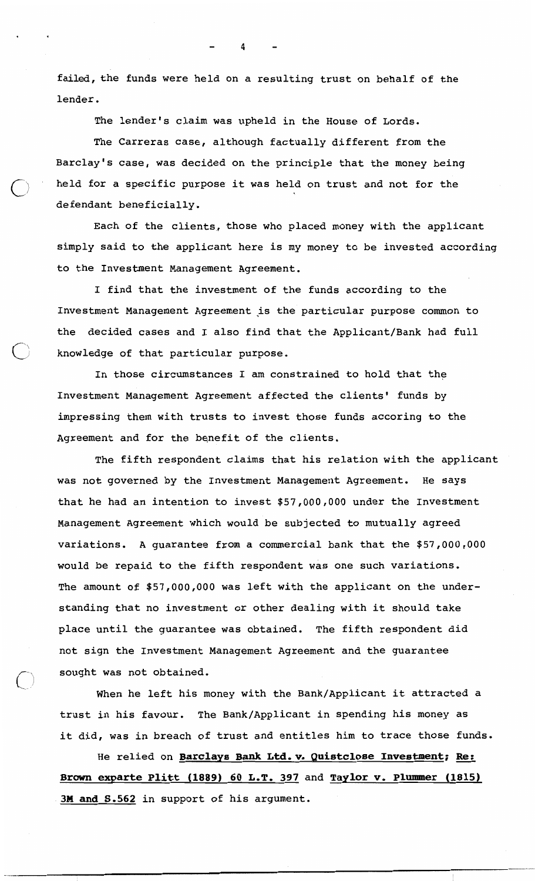failed, the funds were held on a resulting trust on behalf of the lender.

The lender's claim was upheld in the House of Lords.

The Carreras case, although factually different from the Barclay's case, was decided on the principle that the money being held for a specific purpose it was held on trust and not for the defendant beneficially.

Each of the clients, those who placed money with the applicant simply said to the applicant here is my money to be invested according to the Investment Management Agreement.

I find that the investment of the funds according to the Investment Management Agreement is the particular purpose common to the decided cases and I also find that the Applicant/Bank had full knowledge of that particular purpose.

In those circumstances I am constrained to hold that the Investment Management Agreement affected the clients' funds by impressing them with trusts to invest those funds accoring to the Agreement and for the benefit of the clients.

The fifth respondent claims that his relation with the applicant was not governed by the Investment Management Agreement. He says that he had an intention to invest \$57,000,000 under the Investment Management Agreement which would be subjected to mutually agreed variations. A guarantee from a commercial bank that the \$57,000,000 would be repaid to the fifth respondent was one such variations. The amount of \$57,000,000 was left with the applicant on the understanding that no investment or other dealing with it should take place until the guarantee was obtained. The fifth respondent did not sign the Investment Management Agreement and the guarantee sought was not obtained.

When he left his money with the Bank/Applicant it attracted a trust in his favour. The Bank/Applicant in spending his money as it did, was in breach of trust and entitles him to trace those funds.

He relied on Barclays Bank Ltd. v. Quistclose Investment; Re: Brown exparte Plitt (1889) 60 L.T. 397 and Taylor v. Plummer (1815) 3M and S.562 in support of his argument.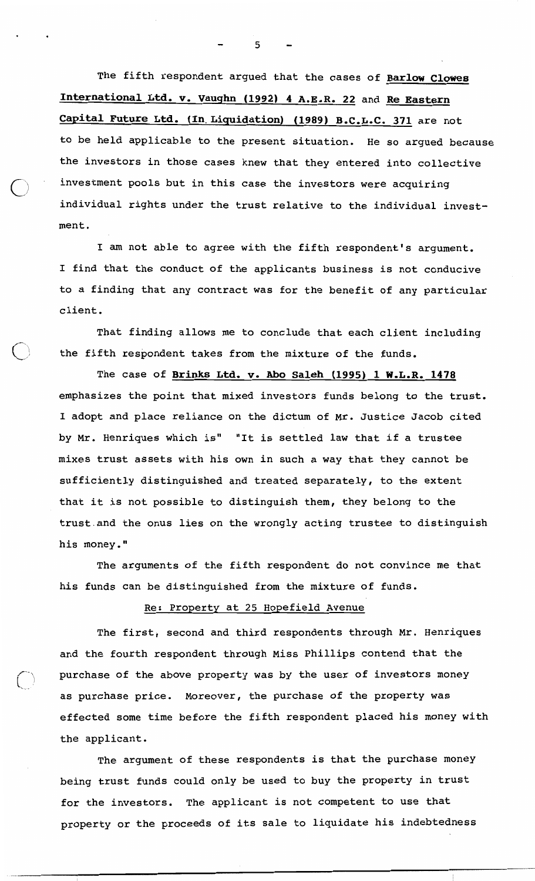The fifth respondent argued that the cases of Barlow Clowes International Ltd. v. Vaughn (1992) 4 A.E.R. 22 and Re Eastern Capital Future Ltd. (In Liquidation) (1989) B.C.L.C. 371 are not to be held applicable to the present situation. He so argued because the investors in those cases knew that they entered into collective investment pools but in this case the investors were acquiring individual rights under the trust relative to the individual investment.

I am not able to agree with the fifth respondent's argument. I find that the conduct of the applicants business is not conducive to a finding that any contract was for the benefit of any particular client.

That finding allows me to conclude that each client including the fifth respondent takes from the mixture of the funds.

The case of Brinks Ltd. v. Abo Saleh (1995) 1 W.L.R. 1478 emphasizes the point that mixed investors funds belong to the trust. I adopt and place reliance on the dictum of Mr. Justice Jacob cited by Mr. Henriques which is" "It is settled law that if a trustee mixes trust assets with his own in such a way that they cannot be sufficiently distinguished and treated separately, to the extent that it is not possible to distinguish them, they belong to the trust and the onus lies on the wrongly acting trustee to distinguish his money."

The arguments of the fifth respondent do not convince me that his funds can be distinguished from the mixture of funds.

# Re: Property at 25 Hopefield Avenue

The first, second and third respondents through Mr. Henriques and the fourth respondent through Miss Phillips contend that the purchase of the above property was by the user of investors money as purchase price. Moreover, the purchase of the property was effected some time before the fifth respondent placed his money with the applicant.

The argument of these respondents is that the purchase money being trust funds could only be used to buy the property in trust for the investors. The applicant is not competent to use that property or the proceeds of its sale to liquidate his indebtedness

5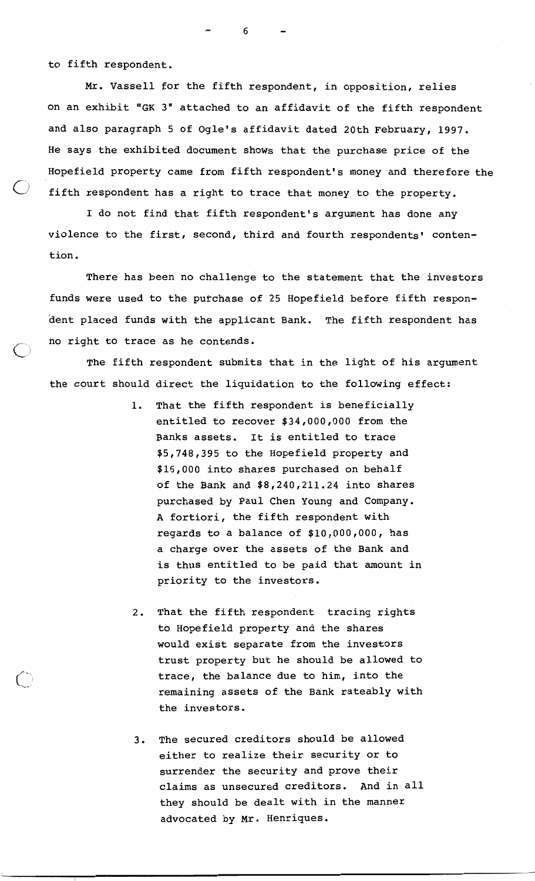to fifth respondent.

Mr. Vassell for the fifth respondent, in opposition, relies on an exhibit "GK 3" attached to an affidavit of the fifth respondent and also paragraph 5 of Ogle's affidavit dated 20th February, 1997. He says the exhibited document shows that the purchase price of the Hopefield property came from fifth respondent's money and therefore the fifth respondent has a right to trace that money to the property.

I do not find that fifth respondent's argument has done any violence to the first, second, third and fourth respondents' contention.

There has been no challenge to the statement that the investors funds were used to the purchase of 25 Hopefield before fifth respondent placed funds with the applicant Bank. The fifth respondent has no right to trace as he contends.

The fifth respondent submits that in the light of his argument the court should direct the liquidation to the following effect:

- 1. That the fifth respondent is beneficially entitled to recover \$34,000,000 from the Banks assets. It is entitled to trace \$5,748,395 to the Hopefield property and \$16,000 into shares purchased on behalf of the Bank and \$8,240,211.24 into shares purchased by Paul Chen Young and Company. A fortiori, the fifth respondent with regards to a balance of \$10,000,000, has a charge over the assets of the Bank and is thus entitled to be paid that amount in priority to the investors.
- That the fifth respondent tracing rights  $2.$ to Hopefield property and the shares would exist separate from the investors trust property but he should be allowed to trace, the balance due to him, into the remaining assets of the Bank rateably with the investors.
- The secured creditors should be allowed  $3.$ either to realize their security or to surrender the security and prove their claims as unsecured creditors. And in all they should be dealt with in the manner advocated by Mr. Henriques.

6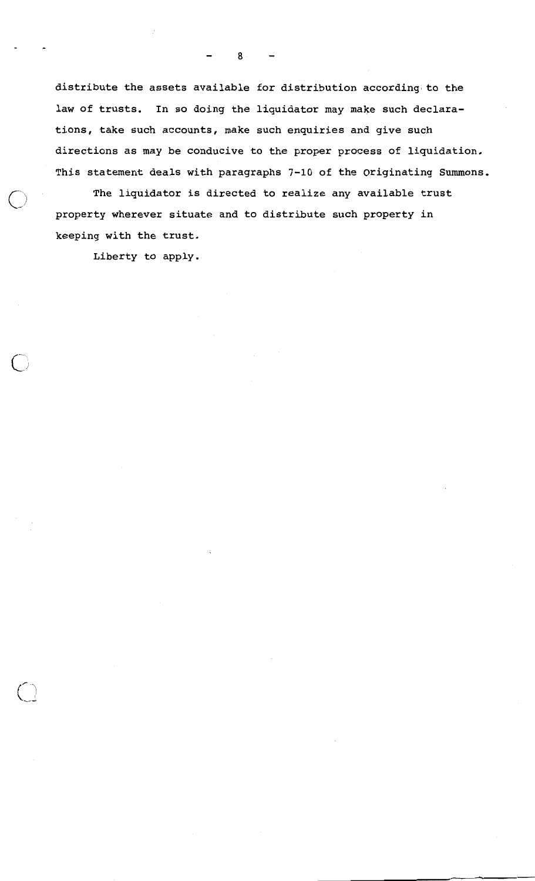distribute the assets available for distribution according to the law of trusts. In so doing the liquidator may make such declarations, take such accounts, make such enquiries and give such directions as may be conducive to the proper process of liquidation. This statement deals with paragraphs 7-10 of the Originating Summons.

The liquidator is directed to realize any available trust property wherever situate and to distribute such property in keeping with the trust.

Liberty to apply.